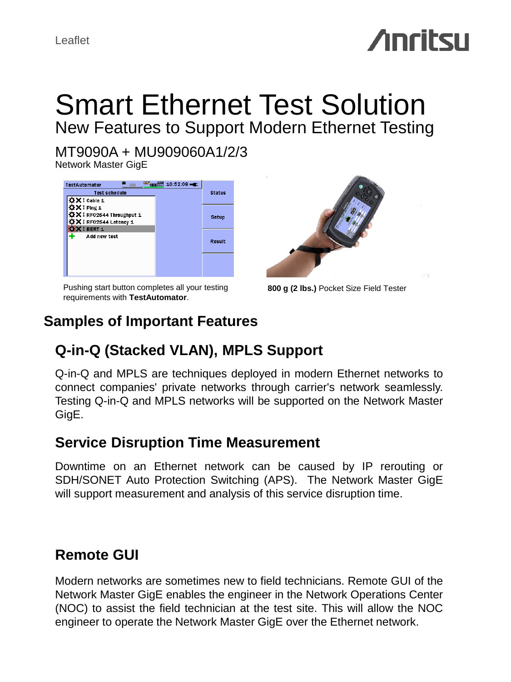# **Anritsu**

# Smart Ethernet Test Solution New Features to Support Modern Ethernet Testing

MT9090A + MU909060A1/2/3

Network Master GigE

| <b>TestAutomator</b><br>0.66                                             | $\frac{[33]}{1000}$ $\frac{[33]}{1000}$ $10:52:09$ $\rightarrow$ |               |
|--------------------------------------------------------------------------|------------------------------------------------------------------|---------------|
| <b>Test schedule</b>                                                     |                                                                  | <b>Status</b> |
| <b>ÖX</b> ‡ Cable 1                                                      |                                                                  |               |
| <b>ΩX</b> ‡Ping 1                                                        |                                                                  |               |
| ☆×↓RFC2544 Throughput 1                                                  |                                                                  | Setup         |
| $\mathbf{\ddot{\alpha}}\mathbf{X}$ $\mathbf{\ddot{}}$ RFC2544 Latency 1. |                                                                  |               |
| X <sup>1</sup> BERT <sub>1</sub>                                         |                                                                  |               |
| Add new test                                                             |                                                                  |               |
|                                                                          |                                                                  | Result        |
|                                                                          |                                                                  |               |
|                                                                          |                                                                  |               |
|                                                                          |                                                                  |               |
|                                                                          |                                                                  |               |

Pushing start button completes all your testing requirements with **TestAutomator**.



**800 g (2 lbs.)** Pocket Size Field Tester

# **Samples of Important Features**

# **Q-in-Q (Stacked VLAN), MPLS Support**

Q-in-Q and MPLS are techniques deployed in modern Ethernet networks to connect companies' private networks through carrier's network seamlessly. Testing Q-in-Q and MPLS networks will be supported on the Network Master GigE.

#### **Service Disruption Time Measurement**

Downtime on an Ethernet network can be caused by IP rerouting or SDH/SONET Auto Protection Switching (APS). The Network Master GigE will support measurement and analysis of this service disruption time.

## **Remote GUI**

Modern networks are sometimes new to field technicians. Remote GUI of the Network Master GigE enables the engineer in the Network Operations Center (NOC) to assist the field technician at the test site. This will allow the NOC engineer to operate the Network Master GigE over the Ethernet network.